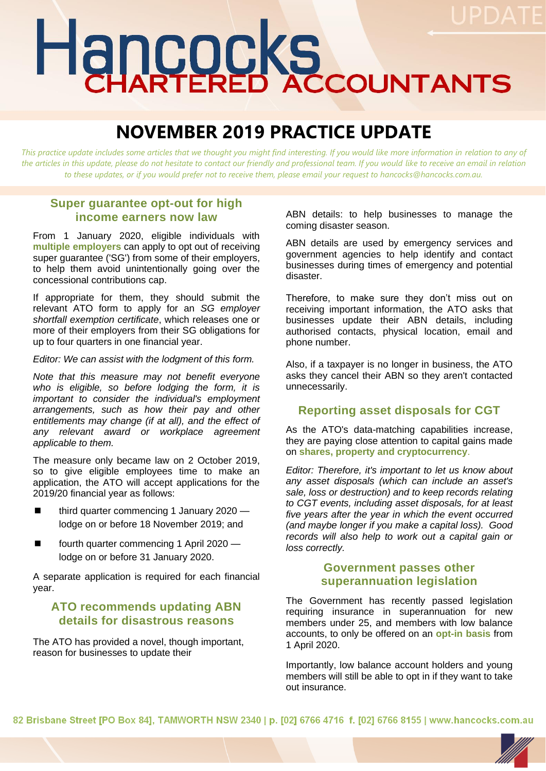# Hancocks

# **NOVEMBER 2019 PRACTICE UPDATE**

*This practice update includes some articles that we thought you might find interesting. If you would like more information in relation to any of the articles in this update, please do not hesitate to contact our friendly and professional team. If you would like to receive an email in relation to these updates, or if you would prefer not to receive them, please email your request to hancocks@hancocks.com.au.* 

#### **Super guarantee opt-out for high income earners now law**

From 1 January 2020, eligible individuals with **multiple employers** can apply to opt out of receiving super guarantee ('SG') from some of their employers, to help them avoid unintentionally going over the concessional contributions cap.

If appropriate for them, they should submit the relevant ATO form to apply for an *SG employer shortfall exemption certificate*, which releases one or more of their employers from their SG obligations for up to four quarters in one financial year.

*Editor: We can assist with the lodgment of this form.*

*Note that this measure may not benefit everyone who is eligible, so before lodging the form, it is important to consider the individual's employment arrangements, such as how their pay and other entitlements may change (if at all), and the effect of any relevant award or workplace agreement applicable to them.*

The measure only became law on 2 October 2019, so to give eligible employees time to make an application, the ATO will accept applications for the 2019/20 financial year as follows:

- third quarter commencing 1 January 2020 lodge on or before 18 November 2019; and
- fourth quarter commencing 1 April 2020 lodge on or before 31 January 2020.

A separate application is required for each financial year.

# **ATO recommends updating ABN details for disastrous reasons**

The ATO has provided a novel, though important, reason for businesses to update their

ABN details: to help businesses to manage the coming disaster season.

ABN details are used by emergency services and government agencies to help identify and contact businesses during times of emergency and potential disaster.

Therefore, to make sure they don't miss out on receiving important information, the ATO asks that businesses update their ABN details, including authorised contacts, physical location, email and phone number.

Also, if a taxpayer is no longer in business, the ATO asks they cancel their ABN so they aren't contacted unnecessarily.

#### **Reporting asset disposals for CGT**

As the ATO's data-matching capabilities increase, they are paying close attention to capital gains made on **shares, property and cryptocurrency**.

*Editor: Therefore, it's important to let us know about any asset disposals (which can include an asset's sale, loss or destruction) and to keep records relating to CGT events, including asset disposals, for at least five years after the year in which the event occurred (and maybe longer if you make a capital loss). Good records will also help to work out a capital gain or loss correctly.*

# **Government passes other superannuation legislation**

The Government has recently passed legislation requiring insurance in superannuation for new members under 25, and members with low balance accounts, to only be offered on an **opt-in basis** from 1 April 2020.

Importantly, low balance account holders and young members will still be able to opt in if they want to take out insurance.

82 Brisbane Street [PO Box 84], TAMWORTH NSW 2340 | p. [02] 6766 4716 f. [02] 6766 8155 | www.hancocks.com.au